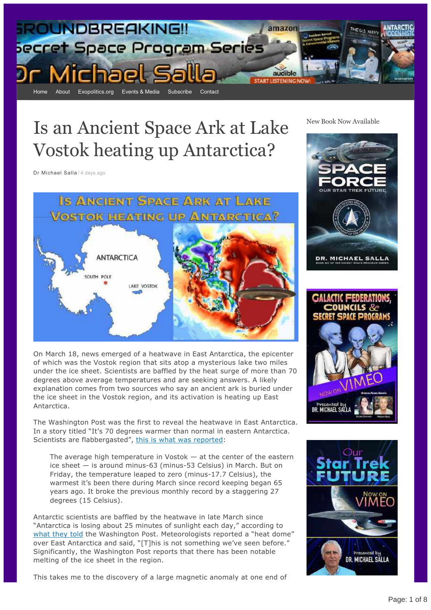

# Is an Ancient Space Ark at Lake Vostok heating up Antarctica?

[Dr Michael Salla](https://michaelsalla.com/author/drsalla/) / [4 days ago](https://michaelsalla.com/2022/04/01/is-an-ancient-space-ark-at-lake-vostok-heating-up-antarctica/)

IS ANCIENT SPACE ARK AT LAKE **VOSTOK HEATING UP ANTARCTICA?** ANTARCTICA SOUTH POLE LAKE VOSTOK

On March 18, news emerged of a heatwave in East Antarctica, the epicenter of which was the Vostok region that sits atop a mysterious lake two miles under the ice sheet. Scientists are baffled by the heat surge of more than 70 degrees above average temperatures and are seeking answers. A likely explanation comes from two sources who say an ancient ark is buried under the ice sheet in the Vostok region, and its activation is heating up East Antarctica.

The Washington Post was the first to reveal the heatwave in East Antarctica. In a story titled "It's 70 degrees warmer than normal in eastern Antarctica. Scientists are flabbergasted", [this is what was reported:](https://www.msn.com/en-us/weather/topstories/it-e2-80-99s-70-degrees-warmer-than-normal-in-eastern-antarctica-scientists-are-flabbergasted/ar-AAVfk4m)

The average high temperature in Vostok  $-$  at the center of the eastern ice sheet  $-$  is around minus-63 (minus-53 Celsius) in March. But on Friday, the temperature leaped to zero (minus-17.7 Celsius), the warmest it's been there during March since record keeping began 65 years ago. It broke the previous monthly record by a staggering 27 degrees (15 Celsius).

Antarctic scientists are baffled by the heatwave in late March since "Antarctica is losing about 25 minutes of sunlight each day," according to [what they told](https://www.msn.com/en-us/weather/topstories/it-e2-80-99s-70-degrees-warmer-than-normal-in-eastern-antarctica-scientists-are-flabbergasted/ar-AAVfk4m) the Washington Post. Meteorologists reported a "heat dome" over East Antarctica and said, "[T]his is not something we've seen before." Significantly, the Washington Post reports that there has been notable melting of the ice sheet in the region.

This takes me to the discovery of a large magnetic anomaly at one end of

New Book Now Available





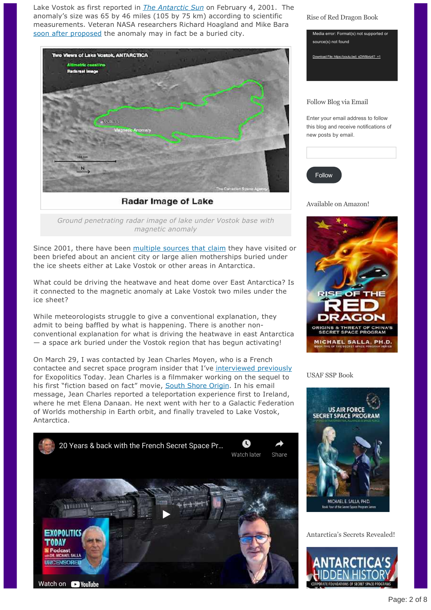Lake Vostok as first reported in *[The Antarctic Sun](https://antarcticsun.usap.gov/pastIssues/2000-2001/2001_02_04.pdf)* on February 4, 2001. The anomaly's size was 65 by 46 miles (105 by 75 km) according to scientific measurements. Veteran NASA researchers Richard Hoagland and Mike Bara [soon after proposed](https://web.archive.org/web/20120103015714/https:/enterprisemission.com/antarctica.htm) the anomaly may in fact be a buried city.



Radar Image of Lake

*Ground penetrating radar image of lake under Vostok base with magnetic anomaly*

Since 2001, there have been [multiple sources that claim](https://exopolitics.org/possible-new-source-on-discovery-of-frozen-city-under-antarctic-ice/) they have visited or been briefed about an ancient city or large alien motherships buried under the ice sheets either at Lake Vostok or other areas in Antarctica.

What could be driving the heatwave and heat dome over East Antarctica? Is it connected to the magnetic anomaly at Lake Vostok two miles under the ice sheet?

While meteorologists struggle to give a conventional explanation, they admit to being baffled by what is happening. There is another nonconventional explanation for what is driving the heatwave in east Antarctica — a space ark buried under the Vostok region that has begun activating!

On March 29, I was contacted by Jean Charles Moyen, who is a French contactee and secret space program insider that I've [interviewed previously](https://exopolitics.org/20-years-back-with-the-french-secret-space-program/) for Exopolitics Today. Jean Charles is a filmmaker working on the sequel to his first "fiction based on fact" movie, [South Shore Origin](https://vimeo.com/ondemand/southshoreorigin/337448023). In his email message, Jean Charles reported a teleportation experience first to Ireland, where he met Elena Danaan. He next went with her to a Galactic Federation of Worlds mothership in Earth orbit, and finally traveled to Lake Vostok, Antarctica.



Rise of Red Dragon Book



Enter your email address to follow this blog and receive notifications of new posts by email.

| Follow |  |  |
|--------|--|--|
|        |  |  |

Available on Amazon!



USAF SSP Book



Antarctica's Secrets Revealed!

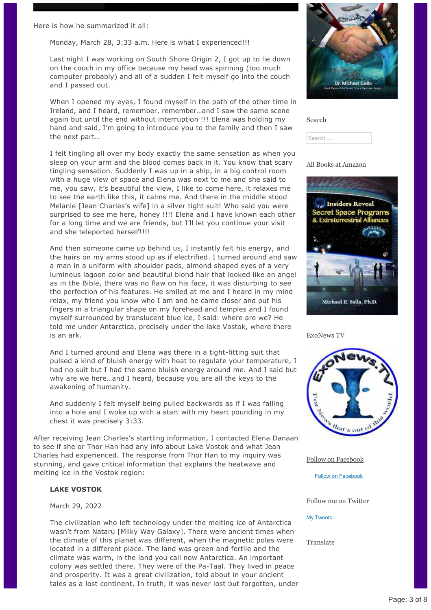Here is how he summarized it all:

Monday, March 28, 3:33 a.m. Here is what I experienced!!!

Last night I was working on South Shore Origin 2, I got up to lie down on the couch in my office because my head was spinning (too much computer probably) and all of a sudden I felt myself go into the couch and I passed out.

When I opened my eyes, I found myself in the path of the other time in Ireland, and I heard, remember, remember…and I saw the same scene again but until the end without interruption !!! Elena was holding my hand and said, I'm going to introduce you to the family and then I saw the next part…

I felt tingling all over my body exactly the same sensation as when you sleep on your arm and the blood comes back in it. You know that scary tingling sensation. Suddenly I was up in a ship, in a big control room with a huge view of space and Elena was next to me and she said to me, you saw, it's beautiful the view, I like to come here, it relaxes me to see the earth like this, it calms me. And there in the middle stood Melanie [Jean Charles's wife] in a silver tight suit! Who said you were surprised to see me here, honey !!!! Elena and I have known each other for a long time and we are friends, but I'll let you continue your visit and she teleported herself!!!!

And then someone came up behind us, I instantly felt his energy, and the hairs on my arms stood up as if electrified. I turned around and saw a man in a uniform with shoulder pads, almond shaped eyes of a very luminous lagoon color and beautiful blond hair that looked like an angel as in the Bible, there was no flaw on his face, it was disturbing to see the perfection of his features. He smiled at me and I heard in my mind relax, my friend you know who I am and he came closer and put his fingers in a triangular shape on my forehead and temples and I found myself surrounded by translucent blue ice, I said: where are we? He told me under Antarctica, precisely under the lake Vostok, where there is an ark.

And I turned around and Elena was there in a tight-fitting suit that pulsed a kind of bluish energy with heat to regulate your temperature, I had no suit but I had the same bluish energy around me. And I said but why are we here…and I heard, because you are all the keys to the awakening of humanity.

And suddenly I felt myself being pulled backwards as if I was falling into a hole and I woke up with a start with my heart pounding in my chest it was precisely 3:33.

After receiving Jean Charles's startling information, I contacted Elena Danaan to see if she or Thor Han had any info about Lake Vostok and what Jean Charles had experienced. The response from Thor Han to my inquiry was stunning, and gave critical information that explains the heatwave and melting ice in the Vostok region:

#### **LAKE VOSTOK**

### March 29, 2022

The civilization who left technology under the melting ice of Antarctica wasn't from Nataru [Milky Way Galaxy]. There were ancient times when the climate of this planet was different, when the magnetic poles were located in a different place. The land was green and fertile and the climate was warm, in the land you call now Antarctica. An important colony was settled there. They were of the Pa-Taal. They lived in peace and prosperity. It was a great civilization, told about in your ancient tales as a lost continent. In truth, it was never lost but forgotten, under



| Search |  |
|--------|--|
| Search |  |

#### All Books at Amazon



ExoNews TV



[Follow on Facebook](https://www.facebook.com/DrMichaelSalla)

[Follow on Facebook](https://www.facebook.com/DrMichaelSalla)

Follow me on Twitter

#### [My Tweets](https://twitter.com/michaelsalla)

Translate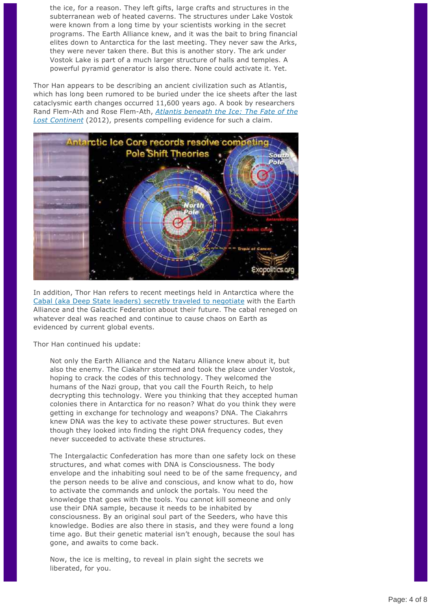the ice, for a reason. They left gifts, large crafts and structures in the subterranean web of heated caverns. The structures under Lake Vostok were known from a long time by your scientists working in the secret programs. The Earth Alliance knew, and it was the bait to bring financial elites down to Antarctica for the last meeting. They never saw the Arks, they were never taken there. But this is another story. The ark under Vostok Lake is part of a much larger structure of halls and temples. A powerful pyramid generator is also there. None could activate it. Yet.

Thor Han appears to be describing an ancient civilization such as Atlantis, which has long been rumored to be buried under the ice sheets after the last cataclysmic earth changes occurred 11,600 years ago. A book by researchers Rand Flem-Ath and Rose Flem-Ath, *Atlantis beneath the Ice: The Fate of the Lost Continent* [\(2012\), presents compelling evidence for such a claim.](https://www.amazon.com/Atlantis-beneath-Ice-Fate-Continent/dp/1591431379/ref=sr_1_1?crid=4CP8K98Z0J89&keywords=Atlantis+under+the+ice&qid=1648636452&s=books&sprefix=atlantis+under+the+ice%2Cstripbooks%2C89&sr=1-1)



In addition, Thor Han refers to recent meetings held in Antarctica where the [Cabal \(aka Deep State leaders\) secretly traveled to negotiate](https://exopolitics.org/cabal-leaders-go-to-antarctica-to-surrender-to-extraterrestrials-earth-alliance/) with the Earth Alliance and the Galactic Federation about their future. The cabal reneged on whatever deal was reached and continue to cause chaos on Earth as evidenced by current global events.

Thor Han continued his update:

Not only the Earth Alliance and the Nataru Alliance knew about it, but also the enemy. The Ciakahrr stormed and took the place under Vostok, hoping to crack the codes of this technology. They welcomed the humans of the Nazi group, that you call the Fourth Reich, to help decrypting this technology. Were you thinking that they accepted human colonies there in Antarctica for no reason? What do you think they were getting in exchange for technology and weapons? DNA. The Ciakahrrs knew DNA was the key to activate these power structures. But even though they looked into finding the right DNA frequency codes, they never succeeded to activate these structures.

The Intergalactic Confederation has more than one safety lock on these structures, and what comes with DNA is Consciousness. The body envelope and the inhabiting soul need to be of the same frequency, and the person needs to be alive and conscious, and know what to do, how to activate the commands and unlock the portals. You need the knowledge that goes with the tools. You cannot kill someone and only use their DNA sample, because it needs to be inhabited by consciousness. By an original soul part of the Seeders, who have this knowledge. Bodies are also there in stasis, and they were found a long time ago. But their genetic material isn't enough, because the soul has gone, and awaits to come back.

Now, the ice is melting, to reveal in plain sight the secrets we liberated, for you.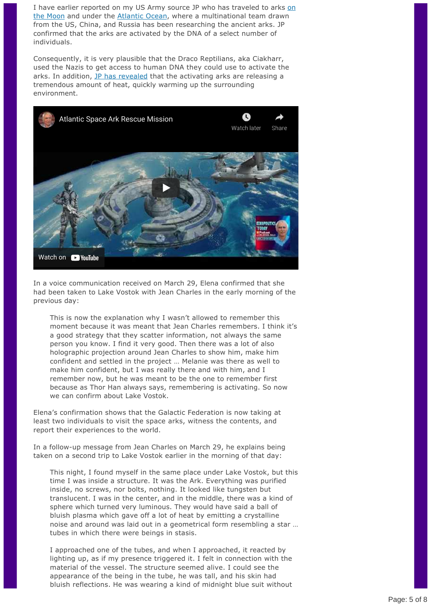[I have earlier reported on my US Army source JP who has traveled to arks on](https://exopolitics.org/china-us-explore-crashed-alien-spacecraft-found-by-yutu-2/) the Moon and under the [Atlantic Ocean,](https://exopolitics.org/giant-et-space-ark-under-atlantic/) where a multinational team drawn from the US, China, and Russia has been researching the ancient arks. JP confirmed that the arks are activated by the DNA of a select number of individuals.

Consequently, it is very plausible that the Draco Reptilians, aka Ciakharr, used the Nazis to get access to human DNA they could use to activate the arks. In addition, [JP has revealed](https://exopolitics.org/atlantic-space-ark-rescue-mission/) that the activating arks are releasing a tremendous amount of heat, quickly warming up the surrounding environment.



In a voice communication received on March 29, Elena confirmed that she had been taken to Lake Vostok with Jean Charles in the early morning of the previous day:

This is now the explanation why I wasn't allowed to remember this moment because it was meant that Jean Charles remembers. I think it's a good strategy that they scatter information, not always the same person you know. I find it very good. Then there was a lot of also holographic projection around Jean Charles to show him, make him confident and settled in the project … Melanie was there as well to make him confident, but I was really there and with him, and I remember now, but he was meant to be the one to remember first because as Thor Han always says, remembering is activating. So now we can confirm about Lake Vostok.

Elena's confirmation shows that the Galactic Federation is now taking at least two individuals to visit the space arks, witness the contents, and report their experiences to the world.

In a follow-up message from Jean Charles on March 29, he explains being taken on a second trip to Lake Vostok earlier in the morning of that day:

This night, I found myself in the same place under Lake Vostok, but this time I was inside a structure. It was the Ark. Everything was purified inside, no screws, nor bolts, nothing. It looked like tungsten but translucent. I was in the center, and in the middle, there was a kind of sphere which turned very luminous. They would have said a ball of bluish plasma which gave off a lot of heat by emitting a crystalline noise and around was laid out in a geometrical form resembling a star … tubes in which there were beings in stasis.

I approached one of the tubes, and when I approached, it reacted by lighting up, as if my presence triggered it. I felt in connection with the material of the vessel. The structure seemed alive. I could see the appearance of the being in the tube, he was tall, and his skin had bluish reflections. He was wearing a kind of midnight blue suit without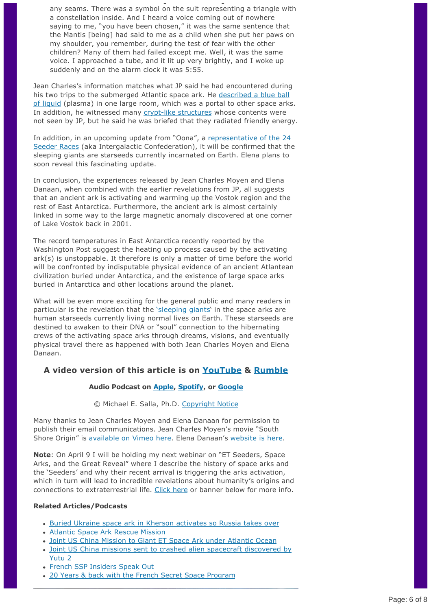any seams. There was a symbol on the suit representing a triangle with a constellation inside. And I heard a voice coming out of nowhere saying to me, "you have been chosen," it was the same sentence that the Mantis [being] had said to me as a child when she put her paws on my shoulder, you remember, during the test of fear with the other children? Many of them had failed except me. Well, it was the same voice. I approached a tube, and it lit up very brightly, and I woke up suddenly and on the alarm clock it was 5:55.

bluish reflections. He was wearing a kind of midnight blue suit without

Jean Charles's information matches what JP said he had encountered during [his two trips to the submerged Atlantic space ark. He described a blue ball](https://exopolitics.org/giant-et-space-ark-under-atlantic/) of liquid (plasma) in one large room, which was a portal to other space arks. In addition, he witnessed many crypt-like structures whose contents were not seen by JP, but he said he was briefed that they radiated friendly energy.

[In addition, in an upcoming update from "Oona", a representative of the 24](https://exopolitics.org/part-2-cabal-leaders-go-to-antarctica-to-surrender-to-extraterrestrials-earth-alliance/) Seeder Races (aka Intergalactic Confederation), it will be confirmed that the sleeping giants are starseeds currently incarnated on Earth. Elena plans to soon reveal this fascinating update.

In conclusion, the experiences released by Jean Charles Moyen and Elena Danaan, when combined with the earlier revelations from JP, all suggests that an ancient ark is activating and warming up the Vostok region and the rest of East Antarctica. Furthermore, the ancient ark is almost certainly linked in some way to the large magnetic anomaly discovered at one corner of Lake Vostok back in 2001.

The record temperatures in East Antarctica recently reported by the Washington Post suggest the heating up process caused by the activating ark(s) is unstoppable. It therefore is only a matter of time before the world will be confronted by indisputable physical evidence of an ancient Atlantean civilization buried under Antarctica, and the existence of large space arks buried in Antarctica and other locations around the planet.

What will be even more exciting for the general public and many readers in particular is the revelation that the ['sleeping giants](https://exopolitics.org/sleeping-giants-in-stasis-chambers-ready-to-awaken-whistleblower-claims/)' in the space arks are human starseeds currently living normal lives on Earth. These starseeds are destined to awaken to their DNA or "soul" connection to the hibernating crews of the activating space arks through dreams, visions, and eventually physical travel there as happened with both Jean Charles Moyen and Elena Danaan.

# **A video version of this article is on [YouTube](https://youtu.be/ijXavoCEaqQ) & [Rumble](https://rumble.com/vz8n13-is-an-ancient-space-ark-at-lake-vostok-heating-up-antarctica.html)**

# **Audio Podcast on [Apple,](https://exopolitics.us5.list-manage.com/track/click?u=a4581053309d2403fb8a2bb63&id=c88906e3c4&e=509f126852) [Spotify,](https://exopolitics.us5.list-manage.com/track/click?u=a4581053309d2403fb8a2bb63&id=3882141ce6&e=509f126852) or [Google](https://exopolitics.us5.list-manage.com/track/click?u=a4581053309d2403fb8a2bb63&id=b0b83bb9db&e=509f126852)**

© Michael E. Salla, Ph.D. [Copyright Notice](http://exopolitics.org/copyright-notice/)

Many thanks to Jean Charles Moyen and Elena Danaan for permission to publish their email communications. Jean Charles Moyen's movie "South Shore Origin" is [available on Vimeo here](https://vimeo.com/ondemand/southshoreorigin/337448023). Elena Danaan's [website is here](https://elenadanaan.org).

**Note**: On April 9 I will be holding my next webinar on "ET Seeders, Space Arks, and the Great Reveal" where I describe the history of space arks and the 'Seeders' and why their recent arrival is triggering the arks activation, which in turn will lead to incredible revelations about humanity's origins and connections to extraterrestrial life. [Click here](https://exopolitics.org/et-seeders-space-arks-the-great-reveal/) or banner below for more info.

# **Related Articles/Podcasts**

- [Buried Ukraine space ark in Kherson activates so Russia takes over](https://exopolitics.org/buried-ukraine-space-ark-in-kherson-activates/)
- [Atlantic Space Ark Rescue Mission](https://exopolitics.org/atlantic-space-ark-rescue-mission/)
- [Joint US China Mission to Giant ET Space Ark under Atlantic Ocean](https://exopolitics.org/giant-et-space-ark-under-atlantic/)
- [Joint US China missions sent to crashed alien spacecraft discovered by](https://exopolitics.org/china-us-explore-crashed-alien-spacecraft-found-by-yutu-2/) Yutu 2
- [French SSP Insiders Speak Out](https://exopolitics.org/french-ssp-insiders-speak-out/)
- [20 Years & back with the French Secret Space Program](https://exopolitics.org/20-years-back-with-the-french-secret-space-program/)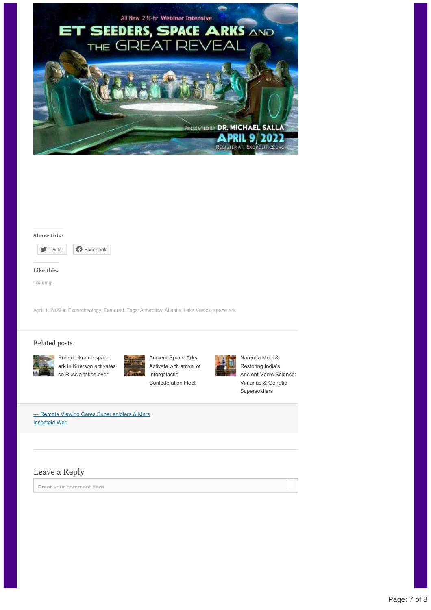



[April 1, 2022](https://michaelsalla.com/2022/04/01/is-an-ancient-space-ark-at-lake-vostok-heating-up-antarctica/) in [Exoarcheology,](https://michaelsalla.com/category/exoarcheology/) [Featured](https://michaelsalla.com/category/featured/). Tags: [Antarctica,](https://michaelsalla.com/tag/antarctica/) [Atlantis](https://michaelsalla.com/tag/atlantis/), [Lake Vostok](https://michaelsalla.com/tag/lake-vostok/), [space ark](https://michaelsalla.com/tag/space-ark/)

#### Related posts



Ancient Space Arks [Activate with arrival of](https://michaelsalla.com/2022/01/08/ancient-space-arks-activate/) Intergalactic Confederation Fleet



Narenda Modi & Restoring India's [Ancient Vedic Science:](https://michaelsalla.com/2021/02/16/narenda-modi-restoring-indias-ancient-vedic-science-vimanas-genetic-supersoldiers/) Vimanas & Genetic Supersoldiers

[← Remote Viewing Ceres Super soldiers & Mars](https://michaelsalla.com/2022/03/29/remote-viewing-ceres-super-soldiers-mars-insectoid-war/) **Insectoid War** 

Buried Ukraine space

so Russia takes over

# Leave a Reply

Enter your comment here...